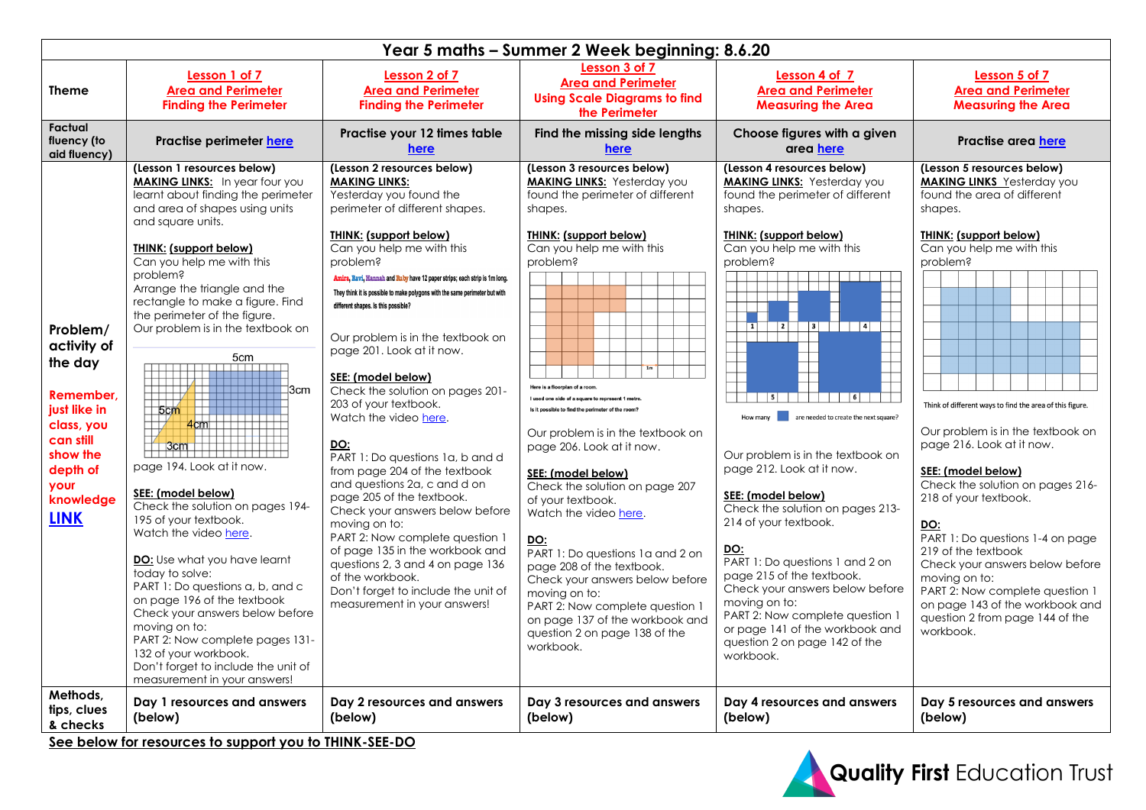| Year 5 maths - Summer 2 Week beginning: 8.6.20                                                                                                         |                                                                                                                                                                                                                                                                                                                                                                                                                                                                                                                                                                                                                                                                                                                                                                                                                                                                                                                                                |                                                                                                                                                                                                                                                                                                                                                                                                                                                                                                                                                                                                                                                                                                                                                                                                                                                                                                                                                                              |                                                                                                                                                                                                                                                                                                                                                                                                                                                                                                                                                                                                                                                                                                                                                              |                                                                                                                                                                                                                                                                                                                                                                                                                                                                                                                                                                                                                                                                                      |                                                                                                                                                                                                                                                                                                                                                                                                                                                                                                                                                                                                                                                         |  |  |  |  |
|--------------------------------------------------------------------------------------------------------------------------------------------------------|------------------------------------------------------------------------------------------------------------------------------------------------------------------------------------------------------------------------------------------------------------------------------------------------------------------------------------------------------------------------------------------------------------------------------------------------------------------------------------------------------------------------------------------------------------------------------------------------------------------------------------------------------------------------------------------------------------------------------------------------------------------------------------------------------------------------------------------------------------------------------------------------------------------------------------------------|------------------------------------------------------------------------------------------------------------------------------------------------------------------------------------------------------------------------------------------------------------------------------------------------------------------------------------------------------------------------------------------------------------------------------------------------------------------------------------------------------------------------------------------------------------------------------------------------------------------------------------------------------------------------------------------------------------------------------------------------------------------------------------------------------------------------------------------------------------------------------------------------------------------------------------------------------------------------------|--------------------------------------------------------------------------------------------------------------------------------------------------------------------------------------------------------------------------------------------------------------------------------------------------------------------------------------------------------------------------------------------------------------------------------------------------------------------------------------------------------------------------------------------------------------------------------------------------------------------------------------------------------------------------------------------------------------------------------------------------------------|--------------------------------------------------------------------------------------------------------------------------------------------------------------------------------------------------------------------------------------------------------------------------------------------------------------------------------------------------------------------------------------------------------------------------------------------------------------------------------------------------------------------------------------------------------------------------------------------------------------------------------------------------------------------------------------|---------------------------------------------------------------------------------------------------------------------------------------------------------------------------------------------------------------------------------------------------------------------------------------------------------------------------------------------------------------------------------------------------------------------------------------------------------------------------------------------------------------------------------------------------------------------------------------------------------------------------------------------------------|--|--|--|--|
| Theme                                                                                                                                                  | Lesson 1 of 7<br><b>Area and Perimeter</b><br><b>Finding the Perimeter</b>                                                                                                                                                                                                                                                                                                                                                                                                                                                                                                                                                                                                                                                                                                                                                                                                                                                                     | Lesson 2 of 7<br><b>Area and Perimeter</b><br><b>Finding the Perimeter</b>                                                                                                                                                                                                                                                                                                                                                                                                                                                                                                                                                                                                                                                                                                                                                                                                                                                                                                   | Lesson 3 of 7<br><b>Area and Perimeter</b><br><b>Using Scale Diagrams to find</b><br>the Perimeter                                                                                                                                                                                                                                                                                                                                                                                                                                                                                                                                                                                                                                                           | Lesson 4 of 7<br><b>Area and Perimeter</b><br><b>Measuring the Area</b>                                                                                                                                                                                                                                                                                                                                                                                                                                                                                                                                                                                                              | Lesson 5 of 7<br><b>Area and Perimeter</b><br><b>Measuring the Area</b>                                                                                                                                                                                                                                                                                                                                                                                                                                                                                                                                                                                 |  |  |  |  |
| Factual<br>fluency (to<br>aid fluency)                                                                                                                 | Practise perimeter here                                                                                                                                                                                                                                                                                                                                                                                                                                                                                                                                                                                                                                                                                                                                                                                                                                                                                                                        | Practise your 12 times table<br>here                                                                                                                                                                                                                                                                                                                                                                                                                                                                                                                                                                                                                                                                                                                                                                                                                                                                                                                                         | Find the missing side lengths<br>here                                                                                                                                                                                                                                                                                                                                                                                                                                                                                                                                                                                                                                                                                                                        | Choose figures with a given<br>area here                                                                                                                                                                                                                                                                                                                                                                                                                                                                                                                                                                                                                                             | Practise area here                                                                                                                                                                                                                                                                                                                                                                                                                                                                                                                                                                                                                                      |  |  |  |  |
| Problem/<br>activity of<br>the day<br>Remember,<br>just like in<br>class, you<br>can still<br>show the<br>depth of<br>your<br>knowledge<br><b>LINK</b> | (Lesson 1 resources below)<br><b>MAKING LINKS:</b> In year four you<br>learnt about finding the perimeter<br>and area of shapes using units<br>and square units.<br>THINK: (support below)<br>Can you help me with this<br>problem?<br>Arrange the triangle and the<br>rectangle to make a figure. Find<br>the perimeter of the figure.<br>Our problem is in the textbook on<br>5cm<br>$\overline{111111111}$<br>]3cm<br>5cm<br>$\frac{4 \text{cm}}{2}$<br>$3cm$ $\left  \right $<br>page 194. Look at it now.<br>SEE: (model below)<br>Check the solution on pages 194-<br>195 of your textbook.<br>Watch the video here.<br><b>DO:</b> Use what you have learnt<br>today to solve:<br>PART 1: Do questions a, b, and c<br>on page 196 of the textbook<br>Check your answers below before<br>moving on to:<br>PART 2: Now complete pages 131-<br>132 of your workbook.<br>Don't forget to include the unit of<br>measurement in your answers! | (Lesson 2 resources below)<br><b>MAKING LINKS:</b><br>Yesterday you found the<br>perimeter of different shapes.<br><b>THINK: (support below)</b><br>Can you help me with this<br>problem?<br>Amira, Ravi, Hannah and Ruby have 12 paper strips; each strip is 1m long.<br>They think it is possible to make polygons with the same perimeter but with<br>different shapes. Is this possible?<br>Our problem is in the textbook on<br>page 201. Look at it now.<br>SEE: (model below)<br>Check the solution on pages 201-<br>203 of your textbook.<br>Watch the video here.<br>DO:<br>PART 1: Do questions 1a, b and d<br>from page 204 of the textbook<br>and questions 2a, c and d on<br>page 205 of the textbook.<br>Check your answers below before<br>moving on to:<br>PART 2: Now complete question 1<br>of page 135 in the workbook and<br>questions 2, 3 and 4 on page 136<br>of the workbook.<br>Don't forget to include the unit of<br>measurement in your answers! | (Lesson 3 resources below)<br><b>MAKING LINKS:</b> Yesterday you<br>found the perimeter of different<br>shapes.<br><b>THINK: (support below)</b><br>Can you help me with this<br>problem?<br>Here is a floorplan of a room<br>I used one side of a square to represent 1 metre.<br>Is it possible to find the perimeter of the room?<br>Our problem is in the textbook on<br>page 206. Look at it now.<br>SEE: (model below)<br>Check the solution on page 207<br>of your textbook.<br>Watch the video here.<br>DO:<br>PART 1: Do questions 1a and 2 on<br>page 208 of the textbook.<br>Check your answers below before<br>moving on to:<br>PART 2: Now complete question 1<br>on page 137 of the workbook and<br>question 2 on page 138 of the<br>workbook. | (Lesson 4 resources below)<br><b>MAKING LINKS:</b> Yesterday you<br>found the perimeter of different<br>shapes.<br><b>THINK: (support below)</b><br>Can you help me with this<br>problem?<br>$\mathbf{1}$<br>5<br>$\vert$ 6<br>are needed to create the next square?<br>How many<br>Our problem is in the textbook on<br>page 212. Look at it now.<br>SEE: (model below)<br>Check the solution on pages 213-<br>214 of your textbook.<br>DO:<br>PART 1: Do questions 1 and 2 on<br>page 215 of the textbook.<br>Check your answers below before<br>moving on to:<br>PART 2: Now complete question 1<br>or page 141 of the workbook and<br>question 2 on page 142 of the<br>workbook. | (Lesson 5 resources below)<br><b>MAKING LINKS</b> Yesterday you<br>found the area of different<br>shapes.<br><b>THINK: (support below)</b><br>Can you help me with this<br>problem?<br>Think of different ways to find the area of this figure.<br>Our problem is in the textbook on<br>page 216. Look at it now.<br>SEE: (model below)<br>Check the solution on pages 216-<br>218 of your textbook.<br><u>DO:</u><br>PART 1: Do questions 1-4 on page<br>219 of the textbook<br>Check your answers below before<br>moving on to:<br>PART 2: Now complete question 1<br>on page 143 of the workbook and<br>question 2 from page 144 of the<br>workbook. |  |  |  |  |
| Methods,<br>tips, clues<br>& checks                                                                                                                    | Day 1 resources and answers<br>(below)<br>See below for resources to support you to THINK-SEE-DO                                                                                                                                                                                                                                                                                                                                                                                                                                                                                                                                                                                                                                                                                                                                                                                                                                               | Day 2 resources and answers<br>(below)                                                                                                                                                                                                                                                                                                                                                                                                                                                                                                                                                                                                                                                                                                                                                                                                                                                                                                                                       | Day 3 resources and answers<br>(below)                                                                                                                                                                                                                                                                                                                                                                                                                                                                                                                                                                                                                                                                                                                       | Day 4 resources and answers<br>(below)                                                                                                                                                                                                                                                                                                                                                                                                                                                                                                                                                                                                                                               | Day 5 resources and answers<br>(below)                                                                                                                                                                                                                                                                                                                                                                                                                                                                                                                                                                                                                  |  |  |  |  |

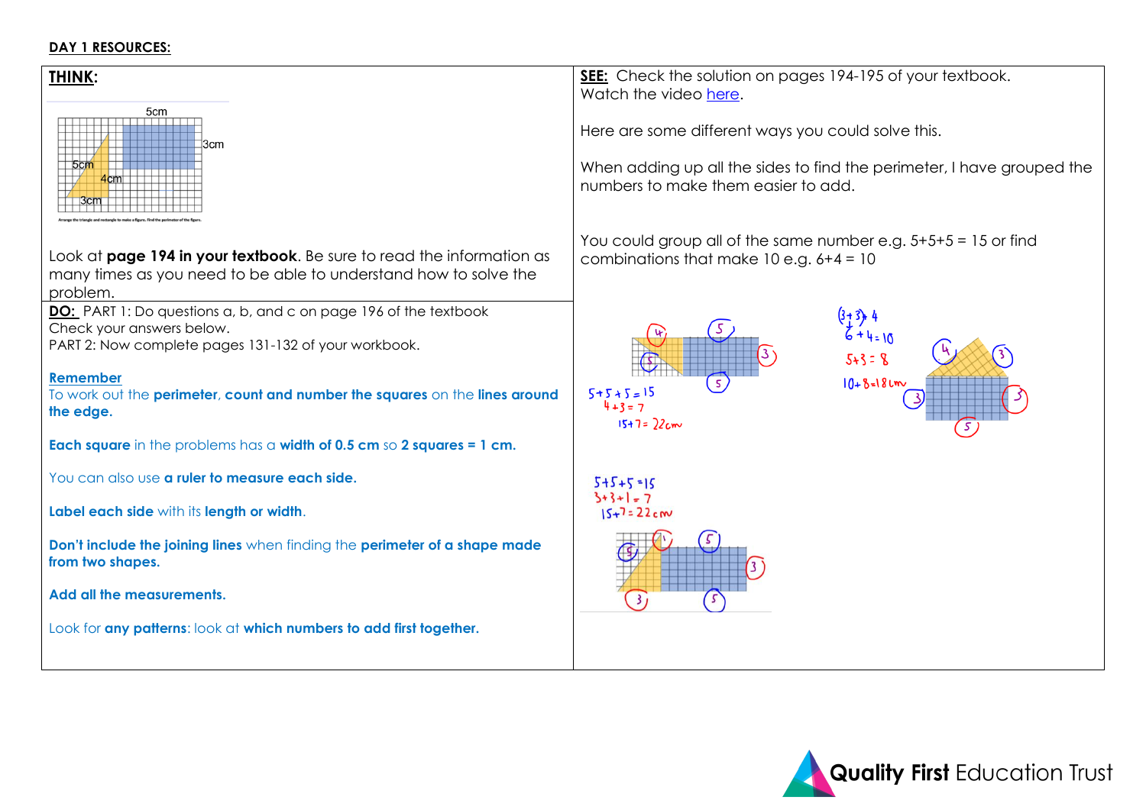#### **DAY 1 RESOURCES:**



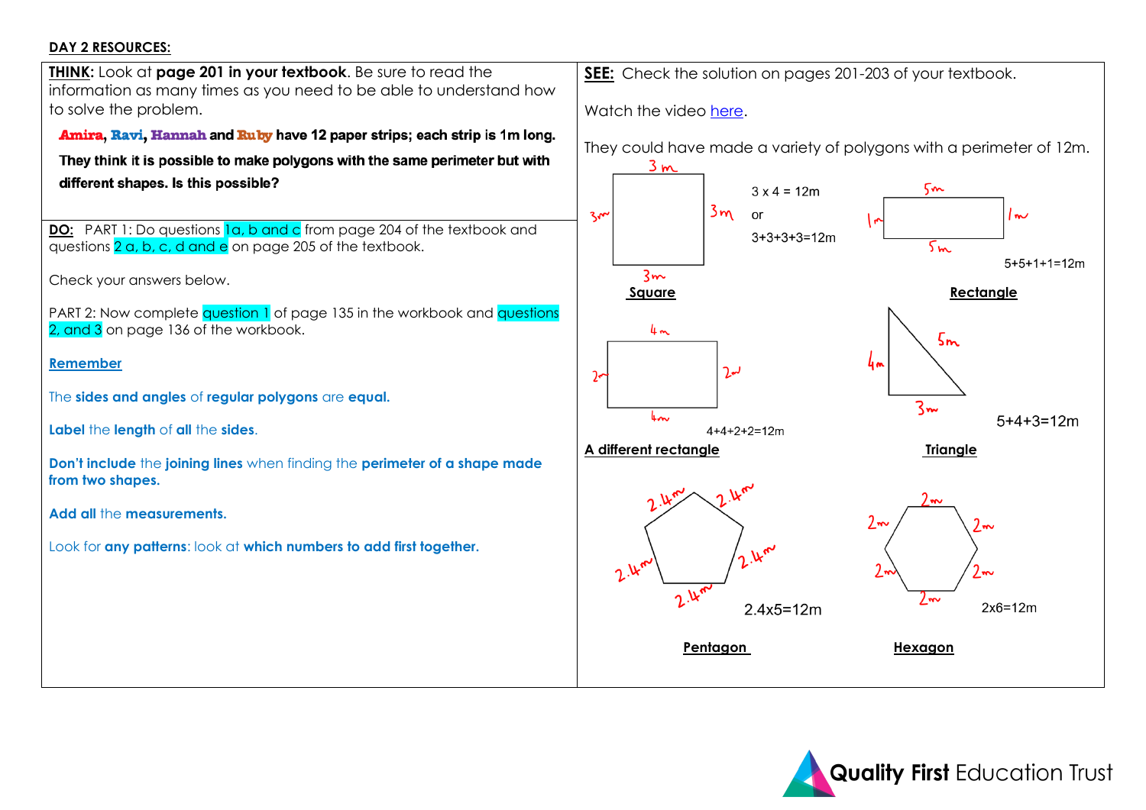### **DAY 2 RESOURCES:**



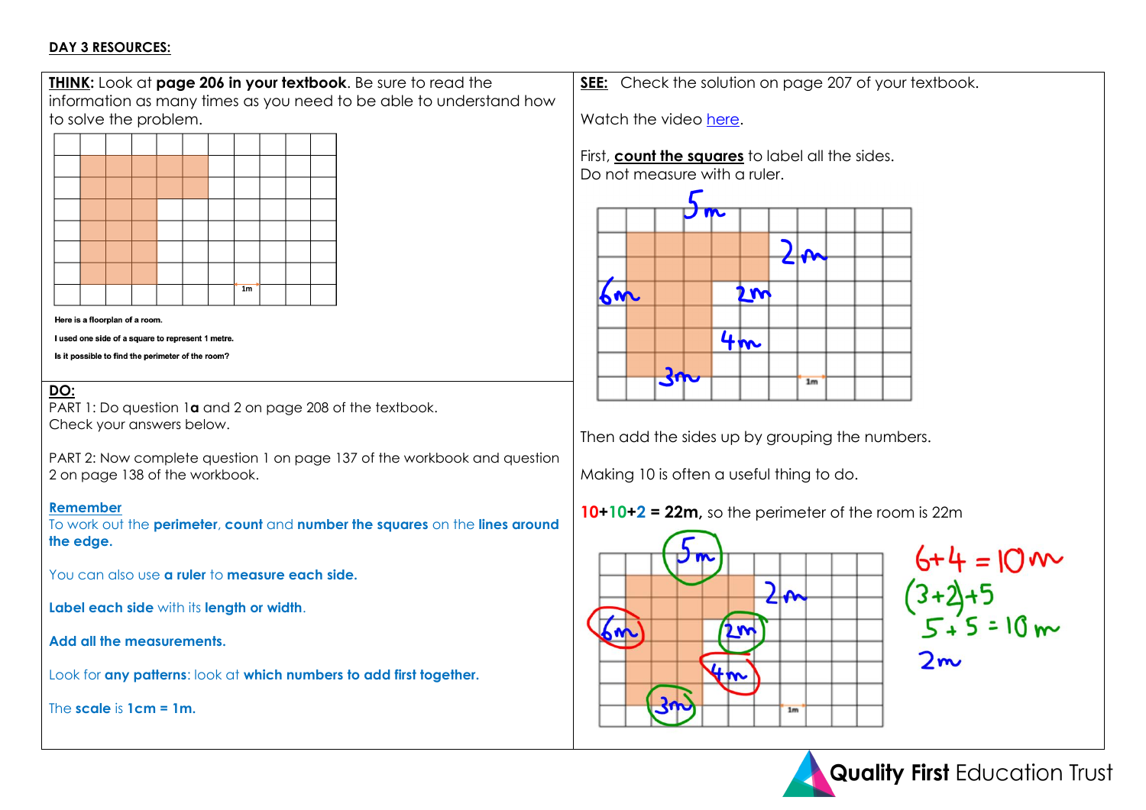### **DAY 3 RESOURCES:**



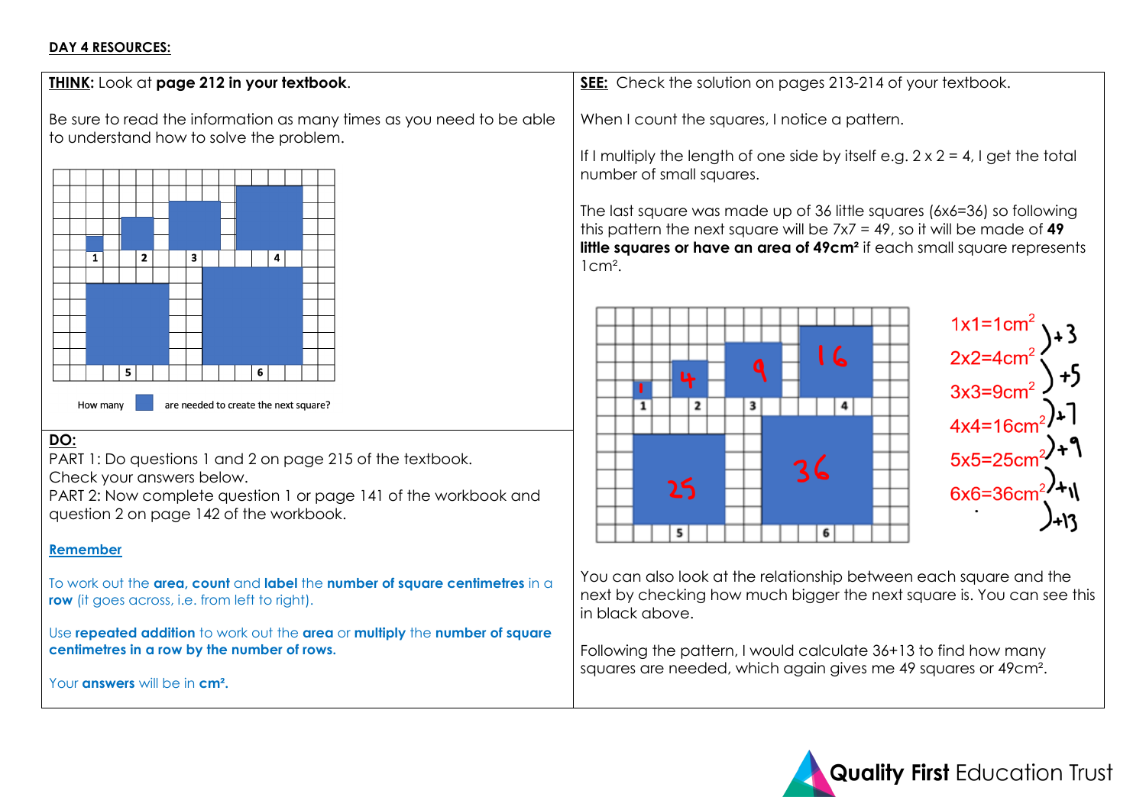# **DAY 4 RESOURCES:**

| THINK: Look at page 212 in your textbook.                                                                                                                                                                               | SEE: Check the solution on pages 213-214 of your textbook.                                                                                                                                                                                                                                                                                                                                                                                                |  |  |
|-------------------------------------------------------------------------------------------------------------------------------------------------------------------------------------------------------------------------|-----------------------------------------------------------------------------------------------------------------------------------------------------------------------------------------------------------------------------------------------------------------------------------------------------------------------------------------------------------------------------------------------------------------------------------------------------------|--|--|
| Be sure to read the information as many times as you need to be able<br>to understand how to solve the problem.<br>$\mathbf{2}$<br>$\mathbf{1}$<br>3<br>4<br>6<br>5.                                                    | When I count the squares, I notice a pattern.<br>If I multiply the length of one side by itself e.g. $2 \times 2 = 4$ , I get the total<br>number of small squares.<br>The last square was made up of 36 little squares (6x6=36) so following<br>this pattern the next square will be $7x7 = 49$ , so it will be made of 49<br>little squares or have an area of 49cm <sup>2</sup> if each small square represents<br>$1 \text{cm}^2$ .<br>  6<br>Q<br>ъ. |  |  |
| are needed to create the next square?<br>How many                                                                                                                                                                       | 3<br>4<br>1<br>2                                                                                                                                                                                                                                                                                                                                                                                                                                          |  |  |
| DO:<br>PART 1: Do questions 1 and 2 on page 215 of the textbook.<br>Check your answers below.<br>PART 2: Now complete question 1 or page 141 of the workbook and<br>question 2 on page 142 of the workbook.<br>Remember | $\frac{1 \times 1 = 1 \text{ cm}^2}{2 \times 2 = 4 \text{ cm}^2}$ + 3<br>$3 \times 3 = 9 \text{ cm}^2$ + 5<br>$4 \times 4 = 16 \text{ cm}^2$ + 1<br>$5 \times 5 = 25 \text{ cm}^2$ + 1<br>$6 \times 6 = 36 \text{ cm}^2$ + 1<br>36<br>25<br>6<br>5                                                                                                                                                                                                        |  |  |
| To work out the area, count and label the number of square centimetres in a<br>row (it goes across, i.e. from left to right).                                                                                           | You can also look at the relationship between each square and the<br>next by checking how much bigger the next square is. You can see this<br>in black above.                                                                                                                                                                                                                                                                                             |  |  |
| Use repeated addition to work out the area or multiply the number of square<br>centimetres in a row by the number of rows.<br>Your answers will be in cm <sup>2</sup> .                                                 | Following the pattern, I would calculate 36+13 to find how many<br>squares are needed, which again gives me 49 squares or 49cm <sup>2</sup> .                                                                                                                                                                                                                                                                                                             |  |  |

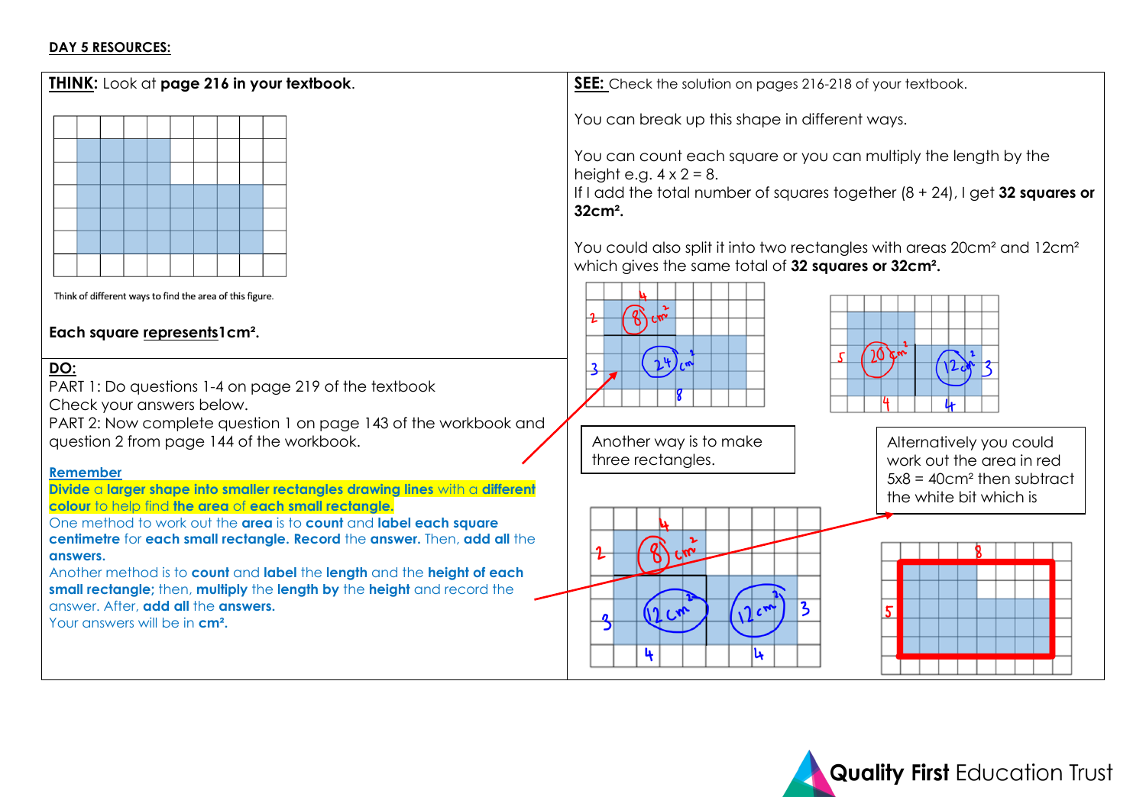### **DAY 5 RESOURCES:**